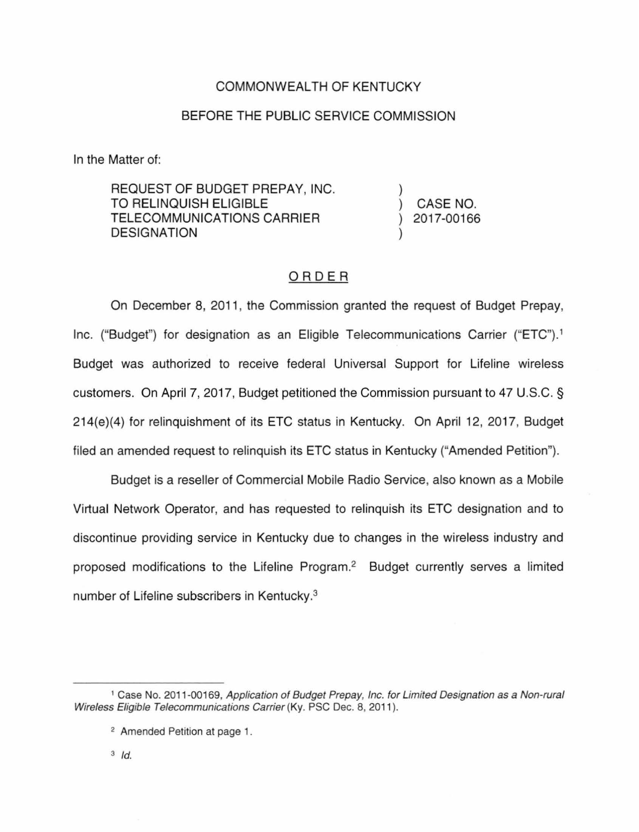## COMMONWEALTH OF KENTUCKY

## BEFORE THE PUBLIC SERVICE COMMISSION

In the Matter of:

REQUEST OF BUDGET PREPAY, INC. TO RELINQUISH ELIGIBLE TELECOMMUNICATIONS CARRIER DESIGNATION

CASE NO. 2017-00166

## ORDER

On December 8, 2011 , the Commission granted the request of Budget Prepay, Inc. ("Budget") for designation as an Eligible Telecommunications Carrier ("ETC").<sup>1</sup> Budget was authorized to receive federal Universal Support for Lifeline wireless customers. On April 7, 2017, Budget petitioned the Commission pursuant to 47 U.S.C. § 214(e)(4) for relinquishment of its ETC status in Kentucky. On April 12, 2017, Budget filed an amended request to relinquish its ETC status in Kentucky ("Amended Petition").

Budget is a reseller of Commercial Mobile Radio Service, also known as a Mobile Virtual Network Operator, and has requested to relinquish its ETC designation and to discontinue providing service in Kentucky due to changes in the wireless industry and proposed modifications to the Lifeline Program.<sup>2</sup> Budget currently serves a limited number of Lifeline subscribers in Kentucky. 3

<sup>1</sup>Case No. 201 1-00169, Application of Budget Prepay, Inc. for Limited Designation as a Non-rural Wireless Eligible Telecommunications Carrier (Ky. PSC Dec. 8, 2011).

<sup>&</sup>lt;sup>2</sup> Amended Petition at page 1.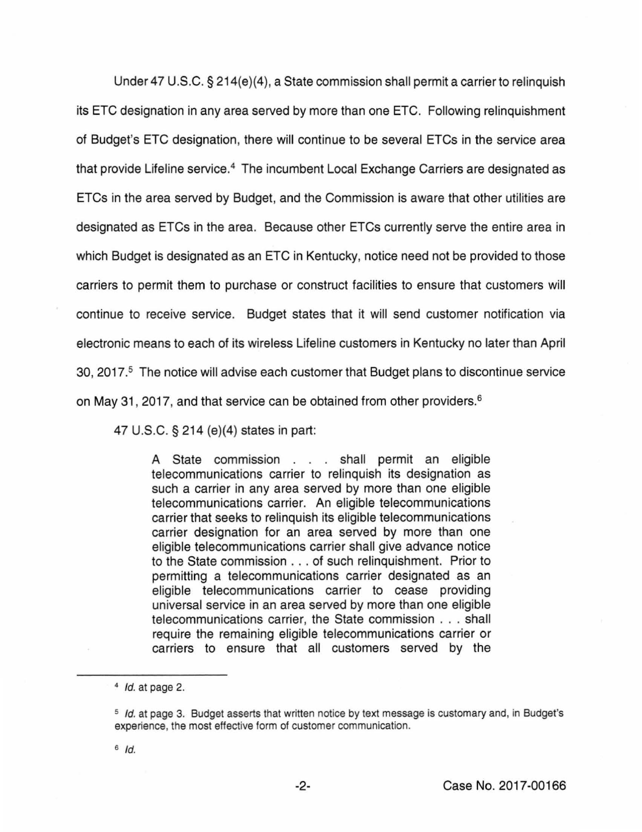Under 47 U.S.C. § 214(e)(4), a State commission shall permit a carrier to relinquish its ETC designation in any area served by more than one ETC. Following relinquishment of Budget's ETC designation, there will continue to be several ETCs in the service area that provide Lifeline service.<sup>4</sup> The incumbent Local Exchange Carriers are designated as ETCs in the area served by Budget, and the Commission is aware that other utilities are designated as ETCs in the area. Because other ETCs currently serve the entire area in which Budget is designated as an ETC in Kentucky, notice need not be provided to those carriers to permit them to purchase or construct facilities to ensure that customers will continue to receive service. Budget states that it will send customer notification via electronic means to each of its wireless Lifeline customers in Kentucky no later than April 30, 2017. <sup>5</sup>The notice will advise each customer that Budget plans to discontinue service on May 31, 2017, and that service can be obtained from other providers.<sup>6</sup>

47 U.S.C. § 214 (e)(4) states in part:

A State commission . . . shall permit an eligible telecommunications carrier to relinquish its designation as such a carrier in any area served by more than one eligible telecommunications carrier. An eligible telecommunications carrier that seeks to relinquish its eligible telecommunications carrier designation for an area served by more than one eligible telecommunications carrier shall give advance notice to the State commission ... of such relinquishment. Prior to permitting a telecommunications carrier designated as an eligible telecommunications carrier to cease providing universal service in an area served by more than one eligible telecommunications carrier, the State commission ... shall require the remaining eligible telecommunications carrier or carriers to ensure that all customers served by the

<sup>6</sup>*/d.* 

<sup>4</sup>*/d.* at page 2.

<sup>&</sup>lt;sup>5</sup> Id. at page 3. Budget asserts that written notice by text message is customary and, in Budget's experience, the most effective form of customer communication.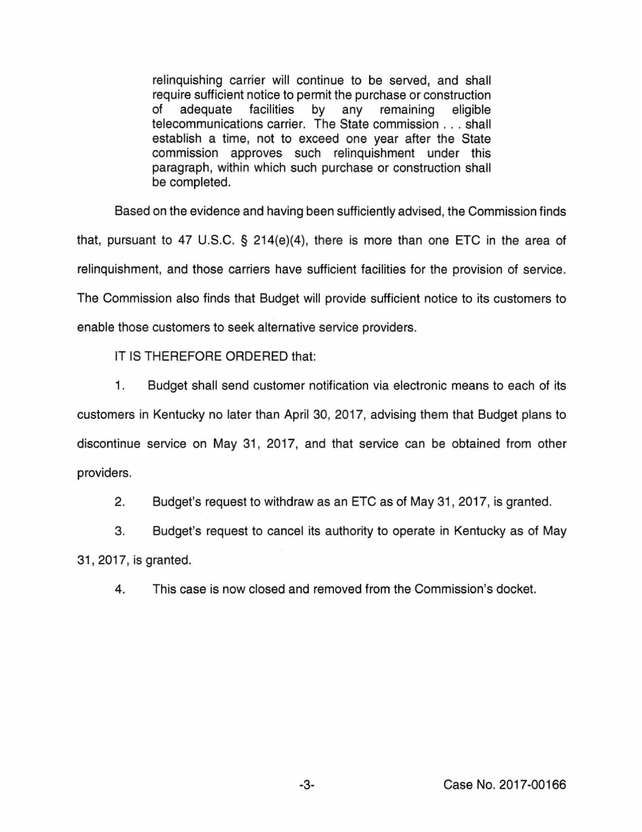relinquishing carrier will continue to be served, and shall require sufficient notice to permit the purchase or construction<br>of adequate facilities by any remaining eligible of adequate facilities by any remaining eligible telecommunications carrier. The State commission . .. shall establish a time, not to exceed one year after the State commission approves such relinquishment under this paragraph, within which such purchase or construction shall be completed.

Based on the evidence and having been sufficiently advised, the Commission finds that, pursuant to 47 U.S.C. § 214(e)(4), there is more than one ETC in the area of relinquishment, and those carriers have sufficient facilities for the provision of service. The Commission also finds that Budget will provide sufficient notice to its customers to enable those customers to seek alternative service providers.

IT IS THEREFORE ORDERED that:

1. Budget shall send customer notification via electronic means to each of its customers in Kentucky no later than April 30, 2017, advising them that Budget plans to discontinue service on May 31, 2017, and that service can be obtained from other providers.

2. Budget's request to withdraw as an ETC as of May 31 , 2017, is granted.

3. Budget's request to cancel its authority to operate in Kentucky as of May 31,2017, is granted.

4. This case is now closed and removed from the Commission's docket.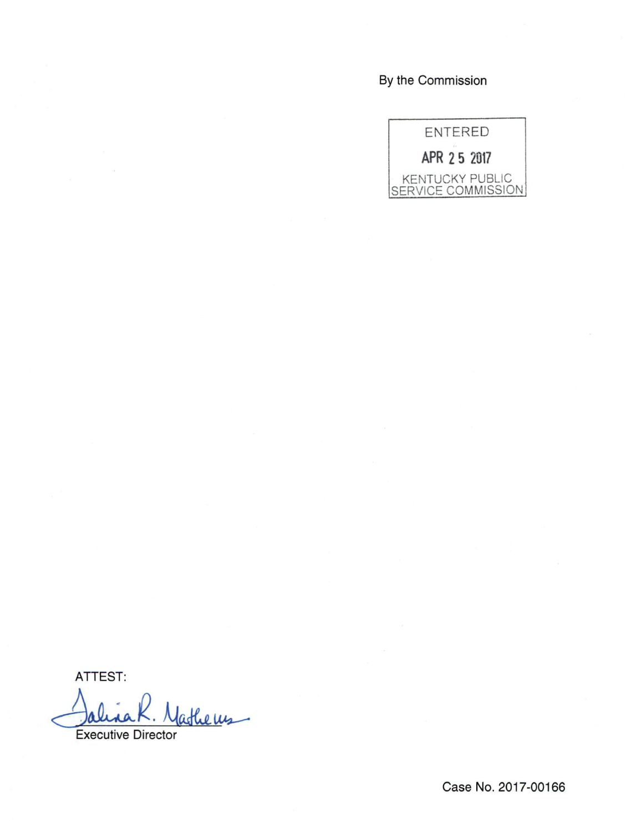By the Commission



ATTEST;

athems

Executive Director

Case No. 2017-00166